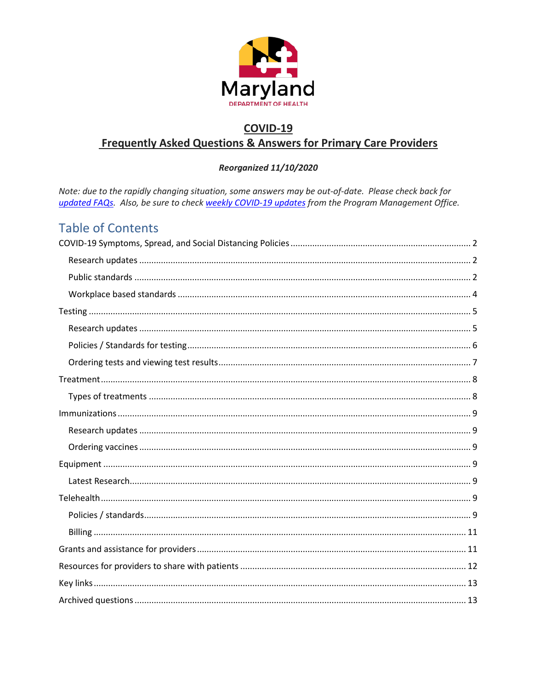

## **COVID-19 Frequently Asked Questions & Answers for Primary Care Providers**

#### Reorganized 11/10/2020

Note: due to the rapidly changing situation, some answers may be out-of-date. Please check back for updated FAQs. Also, be sure to check weekly COVID-19 updates from the Program Management Office.

## **Table of Contents**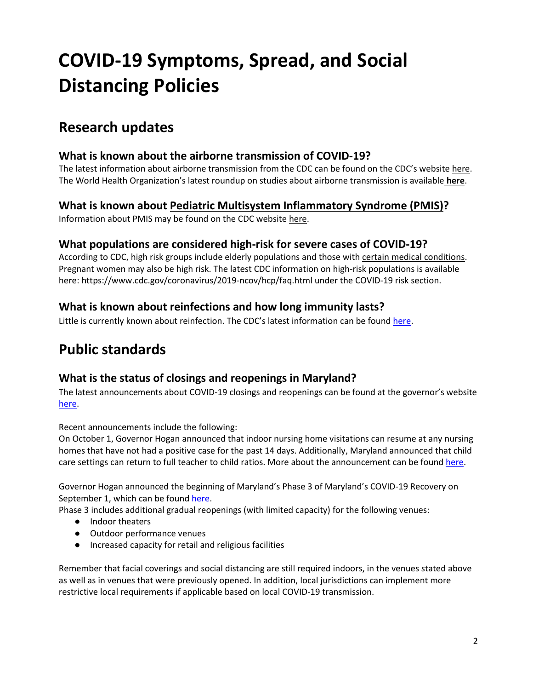# <span id="page-1-0"></span>**COVID-19 Symptoms, Spread, and Social Distancing Policies**

## <span id="page-1-1"></span>**Research updates**

#### **What is known about the airborne transmission of COVID-19?**

The latest information about airborne transmission from the CDC can be found on the CDC's website [here.](https://www.cdc.gov/coronavirus/2019-ncov/prevent-getting-sick/how-covid-spreads.html) The World Health Organization's latest roundup on studies about airborne transmission is available **[here](https://www.who.int/news-room/commentaries/detail/transmission-of-sars-cov-2-implications-for-infection-prevention-precautions)**.

#### **What is known about [Pediatric Multisystem Inflammatory Syndrome](https://www1.nyc.gov/assets/doh/downloads/pdf/han/alert/2020/covid-19-pediatric-multi-system-inflammatory-syndrome.pdf) (PMIS)?**

Information about PMIS may be found on the CDC website [here.](https://emergency.cdc.gov/han/2020/han00432.asp)

#### **What populations are considered high-risk for severe cases of COVID-19?**

According to CDC, high risk groups include elderly populations and those with [certain medical conditions.](https://www.cdc.gov/coronavirus/2019-ncov/need-extra-precautions/people-with-medical-conditions.html) Pregnant women may also be high risk. The latest CDC information on high-risk populations is available here[: https://www.cdc.gov/coronavirus/2019-ncov/hcp/faq.html](https://www.cdc.gov/coronavirus/2019-ncov/hcp/faq.html) under the COVID-19 risk section.

## **What is known about reinfections and how long immunity lasts?**

Little is currently known about reinfection. The CDC's latest information can be foun[d here.](https://www.cdc.gov/coronavirus/2019-ncov/your-health/reinfection.html)

## <span id="page-1-2"></span>**Public standards**

## **What is the status of closings and reopenings in Maryland?**

The latest announcements about COVID-19 closings and reopenings can be found at the governor's website [here.](https://governor.maryland.gov/recovery/)

Recent announcements include the following:

On October 1, Governor Hogan [announced](https://governor.maryland.gov/2020/09/01/governor-hogan-announces-beginning-of-stage-three-of-marylands-covid-19-recovery-additional-safe-and-gradual-reopenings/) that indoor nursing home visitations can resume at any nursing homes that have not had a positive case for the past 14 days. Additionally, Maryland announced that child care settings can return to full teacher to child ratios. More about the announcement can be found [here.](https://governor.maryland.gov/2020/10/01/governor-hogan-announces-indoor-visitation-can-resume-at-nursing-home-facilities-state-superintendent-of-schools-expands-child-care-ratios/)

Governor Hogan [announced](https://governor.maryland.gov/2020/09/01/governor-hogan-announces-beginning-of-stage-three-of-marylands-covid-19-recovery-additional-safe-and-gradual-reopenings/) the beginning of Maryland's Phase 3 of Maryland's COVID-19 Recovery on September 1, which can be found [here.](https://governor.maryland.gov/2020/09/01/governor-hogan-announces-beginning-of-stage-three-of-marylands-covid-19-recovery-additional-safe-and-gradual-reopenings/)

Phase 3 includes additional gradual reopenings (with limited capacity) for the following venues:

- Indoor theaters
- Outdoor performance venues
- Increased capacity for retail and religious facilities

Remember that facial coverings and social distancing are still required indoors, in the venues stated above as well as in venues that were previously opened. In addition, local jurisdictions can implement more restrictive local requirements if applicable based on local COVID-19 transmission.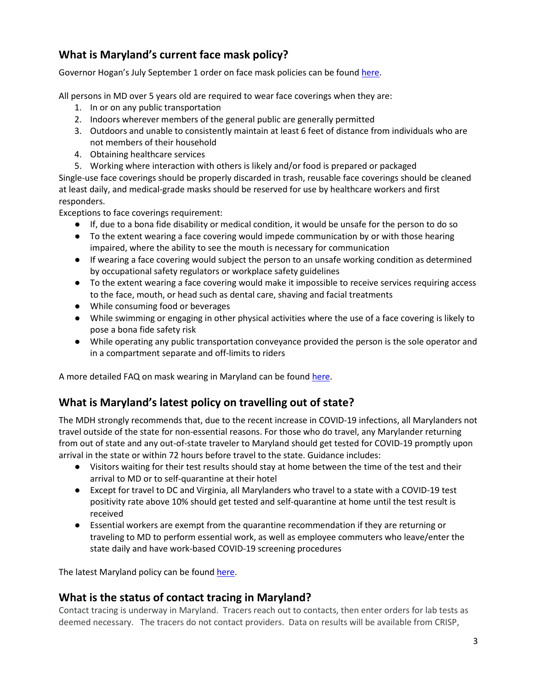## **What is Maryland's current face mask policy?**

Governor Hogan's July September 1 order on face mask policies can be found [here.](https://governor.maryland.gov/wp-content/uploads/2020/09/Gatherings-12th-AMENDED-9.1.20.pdf)

All persons in MD over 5 years old are required to wear face coverings when they are:

- 1. In or on any public transportation
- 2. Indoors wherever members of the general public are generally permitted
- 3. Outdoors and unable to consistently maintain at least 6 feet of distance from individuals who are not members of their household
- 4. Obtaining healthcare services
- 5. Working where interaction with others is likely and/or food is prepared or packaged

Single-use face coverings should be properly discarded in trash, reusable face coverings should be cleaned at least daily, and medical-grade masks should be reserved for use by healthcare workers and first responders.

Exceptions to face coverings requirement:

- If, due to a bona fide disability or medical condition, it would be unsafe for the person to do so
- To the extent wearing a face covering would impede communication by or with those hearing impaired, where the ability to see the mouth is necessary for communication
- If wearing a face covering would subject the person to an unsafe working condition as determined by occupational safety regulators or workplace safety guidelines
- To the extent wearing a face covering would make it impossible to receive services requiring access to the face, mouth, or head such as dental care, shaving and facial treatments
- While consuming food or beverages
- While swimming or engaging in other physical activities where the use of a face covering is likely to pose a bona fide safety risk
- While operating any public transportation conveyance provided the person is the sole operator and in a compartment separate and off-limits to riders

A more detailed FAQ on mask wearing in Maryland can be foun[d here.](https://commerce.maryland.gov/Documents/BusinessResource/Mask-FAQ-COVID-19-Best-Practices.pdf)

## **What is Maryland's latest policy on travelling out of state?**

The MDH strongly recommends that, due to the recent increase in COVID-19 infections, all Marylanders not travel outside of the state for non-essential reasons. For those who do travel, any Marylander returning from out of state and any out-of-state traveler to Maryland should get tested for COVID-19 promptly upon arrival in the state or within 72 hours before travel to the state. Guidance includes:

- Visitors waiting for their test results should stay at home between the time of the test and their arrival to MD or to self-quarantine at their hotel
- Except for travel to DC and Virginia, all Marylanders who travel to a state with a COVID-19 test positivity rate above 10% should get tested and self-quarantine at home until the test result is received
- Essential workers are exempt from the quarantine recommendation if they are returning or traveling to MD to perform essential work, as well as employee commuters who leave/enter the state daily and have work-based COVID-19 screening procedures

The latest Maryland policy can be found [here.](https://phpa.health.maryland.gov/Documents/07.29.2020%20-%20MDH%20Notice%20-%20Out%20of%20State%20Travel%20Advisory.pdf)

#### **What is the status of contact tracing in Maryland?**

Contact tracing is underway in Maryland. Tracers reach out to contacts, then enter orders for lab tests as deemed necessary. The tracers do not contact providers. Data on results will be available from CRISP,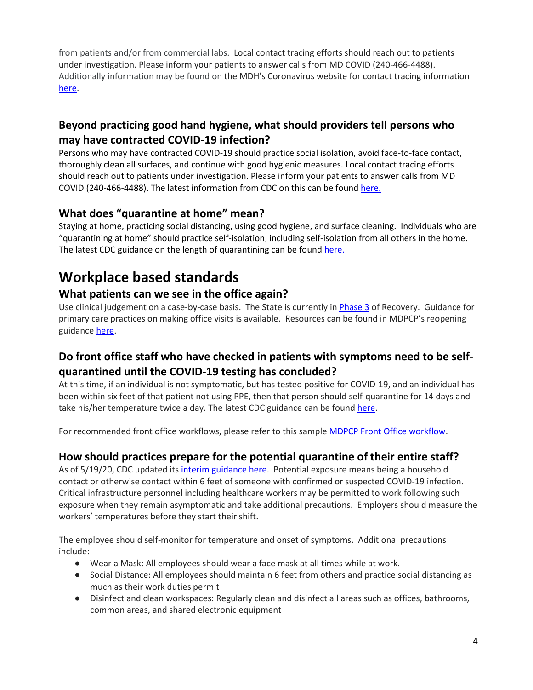from patients and/or from commercial labs. Local contact tracing efforts should reach out to patients under investigation. Please inform your patients to answer calls from MD COVID (240-466-4488). Additionally information may be found on the MDH's Coronavirus website for contact tracing information [here.](https://coronavirus.maryland.gov/pages/contact-tracing)

## **Beyond practicing good hand hygiene, what should providers tell persons who may have contracted COVID-19 infection?**

Persons who may have contracted COVID-19 should practice social isolation, avoid face-to-face contact, thoroughly clean all surfaces, and continue with good hygienic measures. Local contact tracing efforts should reach out to patients under investigation. Please inform your patients to answer calls from MD COVID (240-466-4488). The latest information from CDC on this can be found [here.](https://www.cdc.gov/coronavirus/2019-ncov/downloads/COVID-19-Quarantine-vs-Isolation.pdf)

## **What does "quarantine at home" mean?**

Staying at home, practicing social distancing, using good hygiene, and surface cleaning. Individuals who are "quarantining at home" should practice self-isolation, including self-isolation from all others in the home. The latest CDC guidance on the length of quarantining can be foun[d here.](https://www.cdc.gov/coronavirus/2019-ncov/downloads/COVID-19-Quarantine-vs-Isolation.pdf)

## <span id="page-3-0"></span>**Workplace based standards**

## **What patients can we see in the office again?**

Use clinical judgement on a case-by-case basis. The State is currently in [Phase 3](https://governor.maryland.gov/recovery/) of Recovery. Guidance for primary care practices on making office visits is available. Resources can be found in MDPCP's reopening guidance [here.](https://health.maryland.gov/mdpcp/Documents/MDPCP_Roadmap_to_Recovery.pdf)

## **Do front office staff who have checked in patients with symptoms need to be selfquarantined until the COVID-19 testing has concluded?**

At this time, if an individual is not symptomatic, but has tested positive for COVID-19, and an individual has been within six feet of that patient not using PPE, then that person should self-quarantine for 14 days and take his/her temperature twice a day. The latest CDC guidance can be foun[d here.](https://www.cdc.gov/coronavirus/2019-ncov/hcp/guidance-risk-assesment-hcp.html)

For recommended front office workflows, please refer to this sample [MDPCP Front Office workflow.](https://health.maryland.gov/mdpcp/Documents/COVID-19%20Workflows%20-%20Front%20Desk%20Triage%2003-27-20.pdf)

## **How should practices prepare for the potential quarantine of their entire staff?**

As of 5/19/20, CDC updated its *interim guidance here*. Potential exposure means being a household contact or otherwise contact within 6 feet of someone with confirmed or suspected COVID-19 infection. Critical infrastructure personnel including healthcare workers may be permitted to work following such exposure when they remain asymptomatic and take additional precautions. Employers should measure the workers' temperatures before they start their shift.

The employee should self-monitor for temperature and onset of symptoms. Additional precautions include:

- Wear a Mask: All employees should wear a face mask at all times while at work.
- Social Distance: All employees should maintain 6 feet from others and practice social distancing as much as their work duties permit
- Disinfect and clean workspaces: Regularly clean and disinfect all areas such as offices, bathrooms, common areas, and shared electronic equipment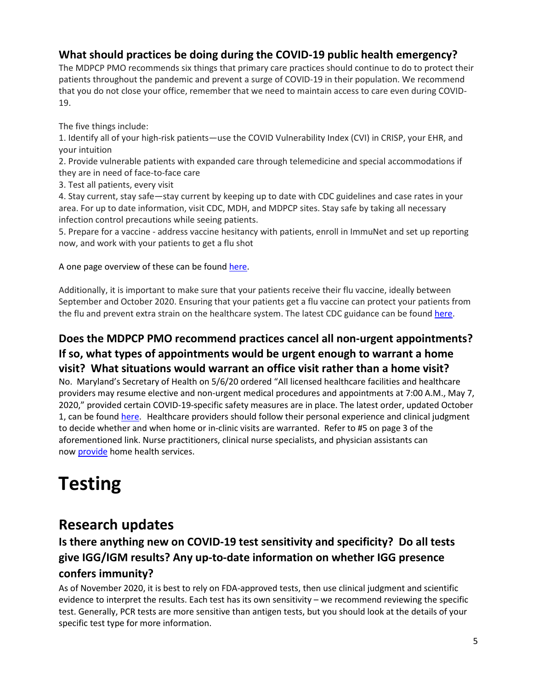## **What should practices be doing during the COVID-19 public health emergency?**

The MDPCP PMO recommends six [things](https://health.maryland.gov/mdpcp/Documents/COVID-19%20-%205%20things.pdf) that primary care practices should continue to do to protect their patients throughout the pandemic and prevent a surge of COVID-19 in their population. We recommend that you do not close your office, remember that we need to maintain access to care even during COVID-19.

The five things include:

1. Identify all of your high-risk patients—use the COVID Vulnerability Index (CVI) in CRISP, your EHR, and your intuition

2. Provide vulnerable patients with expanded care through telemedicine and special accommodations if they are in need of face-to-face care

3. Test all patients, every visit

4. Stay current, stay safe—stay current by keeping up to date with CDC guidelines and case rates in your area. For up to date information, visit CDC, MDH, and MDPCP sites. Stay safe by taking all necessary infection control precautions while seeing patients.

5. Prepare for a vaccine - address vaccine hesitancy with patients, enroll in ImmuNet and set up reporting now, and work with your patients to get a flu shot

A one page overview of these can be found [here.](https://health.maryland.gov/mdpcp/Documents/COVID-19%20-%205%20things.pdf)

Additionally, it is important to make sure that your patients receive their flu vaccine, ideally between September and October 2020. Ensuring that your patients get a flu vaccine can protect your patients from the flu and prevent extra strain on the healthcare system. The latest CDC guidance can be found [here.](https://www.cdc.gov/coronavirus/2019-ncov/hcp/guidance-risk-assesment-hcp.html)

## **Does the MDPCP PMO recommend practices cancel all non-urgent appointments? If so, what types of appointments would be urgent enough to warrant a home visit? What situations would warrant an office visit rather than a home visit?**

No. Maryland's Secretary of Health on 5/6/20 ordered "All licensed healthcare facilities and healthcare providers may resume elective and non-urgent medical procedures and appointments at 7:00 A.M., May 7, 2020," provided certain COVID-19-specific safety measures are in place. The latest order, updated October 1, can be found [here.](https://content.govdelivery.com/attachments/MDMBP/2020/10/13/file_attachments/1569392/2020.10.01.01%20-%20MDH%20Order%20-%20Amended%20Various%20Health%20Care%20Matters%20Order%20%28POC2%29.pdf) Healthcare providers should follow their personal experience and clinical judgment to decide whether and when home or in-clinic visits are warranted. Refer to #5 on page 3 of the aforementioned link. Nurse practitioners, clinical nurse specialists, and physician assistants can now [provide](https://www.cms.gov/files/document/covid-home-health-agencies.pdf) home health services.

# <span id="page-4-0"></span>**Testing**

## <span id="page-4-1"></span>**Research updates**

## **Is there anything new on COVID-19 test sensitivity and specificity? Do all tests give IGG/IGM results? Any up-to-date information on whether IGG presence confers immunity?**

As of November 2020, it is best to rely on FDA-approved tests, then use clinical judgment and scientific evidence to interpret the results. Each test has its own sensitivity – we recommend reviewing the specific test. Generally, PCR tests are more sensitive than antigen tests, but you should look at the details of your specific test type for more information.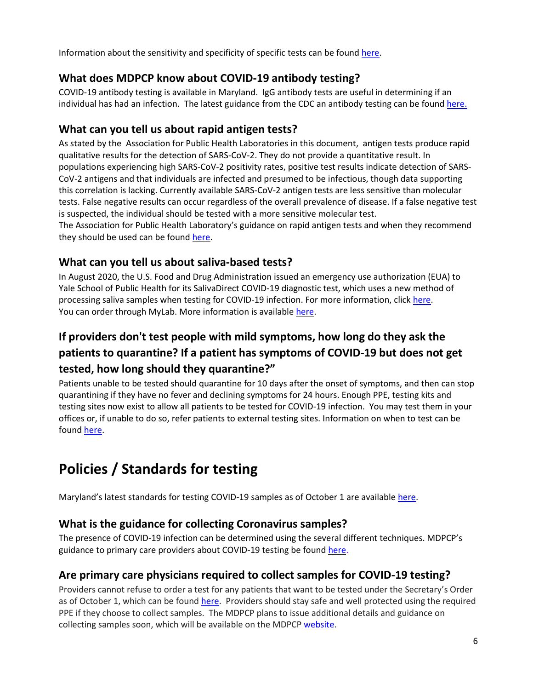Information about the sensitivity and specificity of specific tests can be found [here.](https://www.fda.gov/medical-devices/coronavirus-disease-2019-covid-19-emergency-use-authorizations-medical-devices/vitro-diagnostics-euas#individual-molecular)

#### **What does MDPCP know about COVID-19 antibody testing?**

COVID-19 antibody testing is available in Maryland. IgG antibody tests are useful in determining if an individual has had an infection. The latest guidance from the CDC an antibody testing can be found [here.](https://www.cdc.gov/coronavirus/2019-ncov/testing/serology-overview.html)

#### **What can you tell us about rapid antigen tests?**

As stated by the Association for Public Health Laboratories i[n this document,](https://www.aphl.org/programs/preparedness/Crisis-Management/Documents/APHL-SARSCov2-Antigen-Testing-Considerations.pdf) antigen tests produce rapid qualitative results for the detection of SARS-CoV-2. They do not provide a quantitative result. In populations experiencing high SARS-CoV-2 positivity rates, positive test results indicate detection of SARS-CoV-2 antigens and that individuals are infected and presumed to be infectious, though data supporting this correlation is lacking. Currently available SARS-CoV-2 antigen tests are less sensitive than molecular tests. False negative results can occur regardless of the overall prevalence of disease. If a false negative test is suspected, the individual should be tested with a more sensitive molecular test. The Association for Public Health Laboratory's guidance on rapid antigen tests and when they recommend they should be used can be found [here.](https://www.aphl.org/programs/preparedness/Crisis-Management/Documents/APHL-SARSCov2-Antigen-Testing-Considerations.pdf)

## **What can you tell us about saliva-based tests?**

In August 2020, the U.S. Food and Drug Administration issued an emergency use authorization (EUA) to Yale School of Public Health for its SalivaDirect COVID-19 diagnostic test, which uses a new method of processing saliva samples when testing for COVID-19 infection. For more information, clic[k here.](https://www.fda.gov/news-events/press-announcements/coronavirus-covid-19-update-fda-issues-emergency-use-authorization-yale-school-public-health) You can order through MyLab. More information is available [here.](https://health.maryland.gov/mdpcp/Documents/Testing%20Resource%20Document_Maryland%20myLABBox%20Services_Sept2020.pdf)

## **If providers don't test people with mild symptoms, how long do they ask the patients to quarantine? If a patient has symptoms of COVID-19 but does not get tested, how long should they quarantine?"**

Patients unable to be tested should quarantine for 10 days after the onset of symptoms, and then can stop quarantining if they have no fever and declining symptoms for 24 hours. Enough PPE, testing kits and testing sites now exist to allow all patients to be tested for COVID-19 infection. You may test them in your offices or, if unable to do so, refer patients to external testing sites. Information on when to test can be foun[d here.](https://coronavirus.maryland.gov/pages/symptoms-testing)

## <span id="page-5-0"></span>**Policies / Standards for testing**

Maryland's latest standards for testing COVID-19 samples as of October 1 are available [here.](https://health.maryland.gov/mdpcp/Documents/MDH%20Order_Amended%20Various_Health_Care_Matters_Order_Oct12020.pdf)

## **What is the guidance for collecting Coronavirus samples?**

The presence of COVID-19 infection can be determined using the several different techniques. MDPCP's guidance to primary care providers about COVID-19 testing be found [here.](https://health.maryland.gov/mdpcp/Documents/MDPCP%20Road%20to%20Recovery_Part%20II%20-%20COVID%20Testing.pdf)

## **Are primary care physicians required to collect samples for COVID-19 testing?**

Providers cannot refuse to order a test for any patients that want to be tested under the Secretary's Order as of October 1, which can be found [here.](https://health.maryland.gov/mdpcp/Documents/MDH%20Order_Amended%20Various_Health_Care_Matters_Order_Oct12020.pdf) Providers should stay safe and well protected using the required PPE if they choose to collect samples. The MDPCP plans to issue additional details and guidance on collecting samples soon, which will be available on the MDPCP [website.](https://health.maryland.gov/mdpcp/Pages/home.aspx)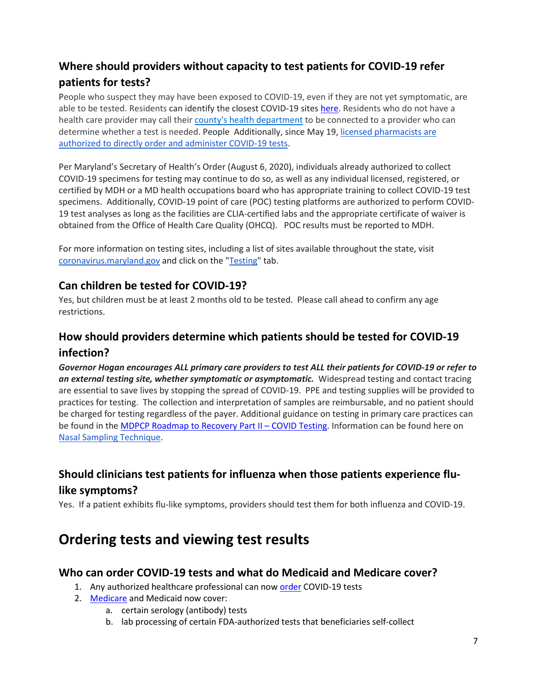## **Where should providers without capacity to test patients for COVID-19 refer patients for tests?**

People who suspect they may have been exposed to COVID-19, even if they are not yet symptomatic, are able to be tested. Residents can identify the closest COVID-19 sites [here.](https://coronavirus.maryland.gov/pages/symptoms-testing) Residents who do not have a health care provider may call thei[r county's health department](https://coronavirus.maryland.gov/pages/lhd-resources) to be connected to a provider who can determine whether a test is needed. People Additionally, since May 19, licensed pharmacists are [authorized to directly order and administer COVID-19 tests.](https://htv-prod-media.s3.amazonaws.com/files/pharmacist-testing-5-19-20-1589911409.pdf)

Per Maryland's Secretary of Health's Order (August 6, 2020), individuals already authorized to collect COVID-19 specimens for testing may continue to do so, as well as any individual licensed, registered, or certified by MDH or a MD health occupations board who has appropriate training to collect COVID-19 test specimens. Additionally, COVID-19 point of care (POC) testing platforms are authorized to perform COVID-19 test analyses as long as the facilities are CLIA-certified labs and the appropriate certificate of waiver is obtained from the Office of Health Care Quality (OHCQ). POC results must be reported to MDH.

For more information on testing sites, including a list of sites available throughout the state, visit [coronavirus.maryland.gov](http://coronavirus.maryland.gov/) and click on the ["Testing"](https://coronavirus.maryland.gov/pages/symptoms-testing) tab.

#### **Can children be tested for COVID-19?**

Yes, but children must be at least 2 months old to be tested. Please call ahead to confirm any age restrictions.

## **How should providers determine which patients should be tested for COVID-19 infection?**

*Governor Hogan encourages ALL primary care providers to test ALL their patients for COVID-19 or refer to an external testing site, whether symptomatic or asymptomatic.* Widespread testing and contact tracing are essential to save lives by stopping the spread of COVID-19. PPE and testing supplies will be provided to practices for testing. The collection and interpretation of samples are reimbursable, and no patient should be charged for testing regardless of the payer. Additional guidance on testing in primary care practices can be found in th[e MDPCP Roadmap to Recovery Part II –](https://health.maryland.gov/mdpcp/Documents/MDPCP%20Road%20to%20Recovery_Part%20II%20-%20COVID%20Testing.pdf) COVID Testing. Information can be found here on [Nasal Sampling Technique.](https://health.maryland.gov/mdpcp/Documents/OASH-nasal-specimen-collection-fact-sheet.pdf)

## **Should clinicians test patients for influenza when those patients experience flulike symptoms?**

Yes. If a patient exhibits flu-like symptoms, providers should test them for both influenza and COVID-19.

## <span id="page-6-0"></span>**Ordering tests and viewing test results**

#### **Who can order COVID-19 tests and what do Medicaid and Medicare cover?**

- 1. Any authorized healthcare professional can now [order](https://www.cms.gov/newsroom/press-releases/trump-administration-issues-second-round-sweeping-changes-support-us-healthcare-system-during-covid) COVID-19 tests
- 2. [Medicare](https://www.medicare.gov/coverage/coronavirus-disease-2019-covid-19-antibody-test) and Medicaid now cover:
	- a. certain serology (antibody) tests
	- b. lab processing of certain FDA-authorized tests that beneficiaries self-collect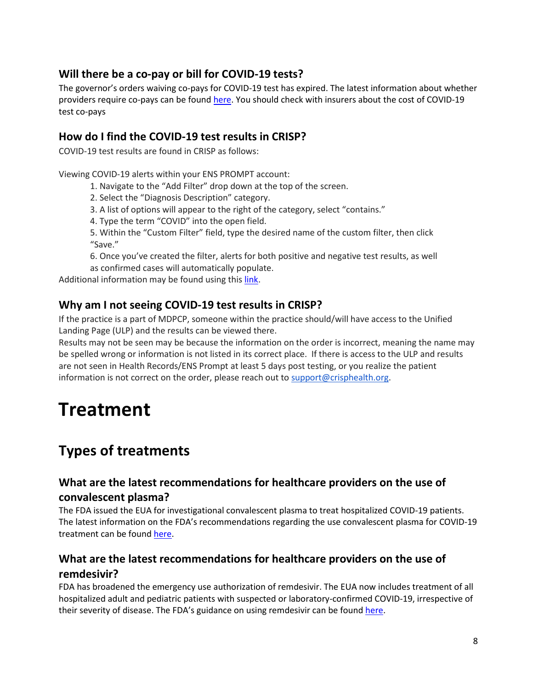## **Will there be a co-pay or bill for COVID-19 tests?**

The governor's orders waiving co-pays for COVID-19 test has expired. The latest information about whether providers require co-pays can be found [here.](https://content.govdelivery.com/attachments/MDMBP/2020/10/13/file_attachments/1569392/2020.10.01.01%20-%20MDH%20Order%20-%20Amended%20Various%20Health%20Care%20Matters%20Order%20%28POC2%29.pdf) You should check with insurers about the cost of COVID-19 test co-pays

#### **How do I find the COVID-19 test results in CRISP?**

COVID-19 test results are found in CRISP as follows:

Viewing COVID-19 alerts within your ENS PROMPT account:

- 1. Navigate to the "Add Filter" drop down at the top of the screen.
- 2. Select the "Diagnosis Description" category.
- 3. A list of options will appear to the right of the category, select "contains."
- 4. Type the term "COVID" into the open field.

5. Within the "Custom Filter" field, type the desired name of the custom filter, then click "Save."

6. Once you've created the filter, alerts for both positive and negative test results, as well as confirmed cases will automatically populate.

Additional information may be found using thi[s link.](https://health.maryland.gov/mdpcp/Documents/Viewing%20COVID%20Alerts%20in%20CRISP.pdf)

#### **Why am I not seeing COVID-19 test results in CRISP?**

If the practice is a part of MDPCP, someone within the practice should/will have access to the Unified Landing Page (ULP) and the results can be viewed there.

Results may not be seen may be because the information on the order is incorrect, meaning the name may be spelled wrong or information is not listed in its correct place. If there is access to the ULP and results are not seen in Health Records/ENS Prompt at least 5 days post testing, or you realize the patient information is not correct on the order, please reach out t[o support@crisphealth.org.](mailto:support@crisphealth.org)

# <span id="page-7-0"></span>**Treatment**

## <span id="page-7-1"></span>**Types of treatments**

## **What are the latest recommendations for healthcare providers on the use of convalescent plasma?**

[The FDA issued the EUA for investigational convalescent plasma](https://www.fda.gov/news-events/press-announcements/fda-issues-emergency-use-authorization-convalescent-plasma-potential-promising-covid-19-treatment) to treat hospitalized COVID-19 patients. The latest information on the FDA's recommendations regarding the use convalescent plasma for COVID-19 treatment can be foun[d here.](https://www.fda.gov/vaccines-blood-biologics/investigational-new-drug-ind-or-device-exemption-ide-process-cber/recommendations-investigational-covid-19-convalescent-plasma)

## **What are the latest recommendations for healthcare providers on the use of remdesivir?**

[FDA has broadened the emergency use authorization of remdesivir.](https://www.fda.gov/news-events/press-announcements/covid-19-update-fda-broadens-emergency-use-authorization-veklury-remdesivir-include-all-hospitalized) The EUA now includes treatment of all hospitalized adult and pediatric patients with suspected or laboratory-confirmed COVID-19, irrespective of their severity of disease. The FDA's guidance on using remdesivir can be found [here.](https://www.fda.gov/media/137574/download)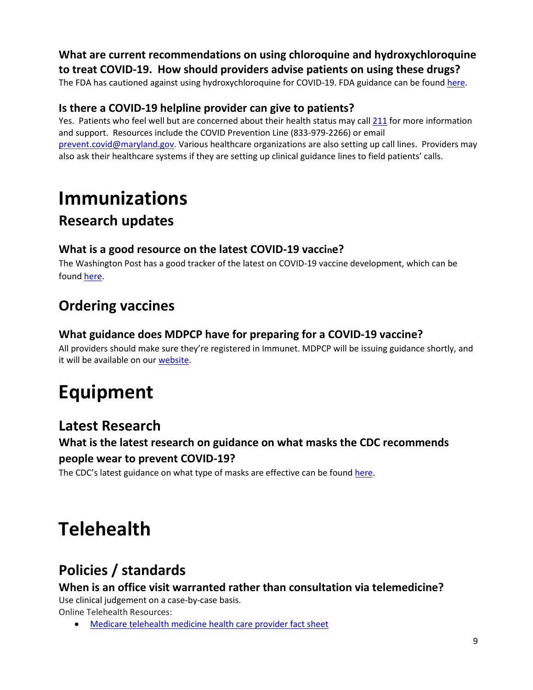#### **What are current recommendations on using chloroquine and hydroxychloroquine to treat COVID-19. How should providers advise patients on using these drugs?**

The FDA has cautioned against using hydroxychloroquine for COVID-19. FDA guidance can be foun[d here.](https://www.fda.gov/drugs/drug-safety-and-availability/fda-cautions-against-use-hydroxychloroquine-or-chloroquine-covid-19-outside-hospital-setting-or)

## **Is there a COVID-19 helpline provider can give to patients?**

Yes. Patients who feel well but are concerned about their health status may call [211](https://211md.org/) for more information and support. Resources include the COVID Prevention Line (833-979-2266) or email [prevent.covid@maryland.gov.](mailto:prevent.covid@maryland.gov) Various healthcare organizations are also setting up call lines. Providers may also ask their healthcare systems if they are setting up clinical guidance lines to field patients' calls.

# <span id="page-8-0"></span>**Immunizations**

## <span id="page-8-1"></span>**Research updates**

#### **What is a good resource on the latest COVID-19 vaccine?**

The Washington Post has a good tracker of the latest on COVID-19 vaccine development, which can be foun[d here.](https://www.washingtonpost.com/graphics/2020/health/covid-vaccine-update-coronavirus/)

## <span id="page-8-2"></span>**Ordering vaccines**

## **What guidance does MDPCP have for preparing for a COVID-19 vaccine?**

All providers should make sure they're registered in Immunet. MDPCP will be issuing guidance shortly, and it will be available on our [website.](https://health.maryland.gov/mdpcp/Pages/home.aspx)

# <span id="page-8-3"></span>**Equipment**

## <span id="page-8-4"></span>**Latest Research**

## **What is the latest research on guidance on what masks the CDC recommends people wear to prevent COVID-19?**

The CDC's latest guidance on what type of masks are effective can be foun[d here.](https://www.cdc.gov/coronavirus/2019-ncov/prevent-getting-sick/about-face-coverings.html)

# <span id="page-8-5"></span>**Telehealth**

## <span id="page-8-6"></span>**Policies / standards**

**When is an office visit warranted rather than consultation via telemedicine?** Use clinical judgement on a case-by-case basis.

Online Telehealth Resources:

• [Medicare telehealth medicine health care provider fact sheet](https://www.cms.gov/newsroom/fact-sheets/medicare-telemedicine-health-care-provider-fact-sheet)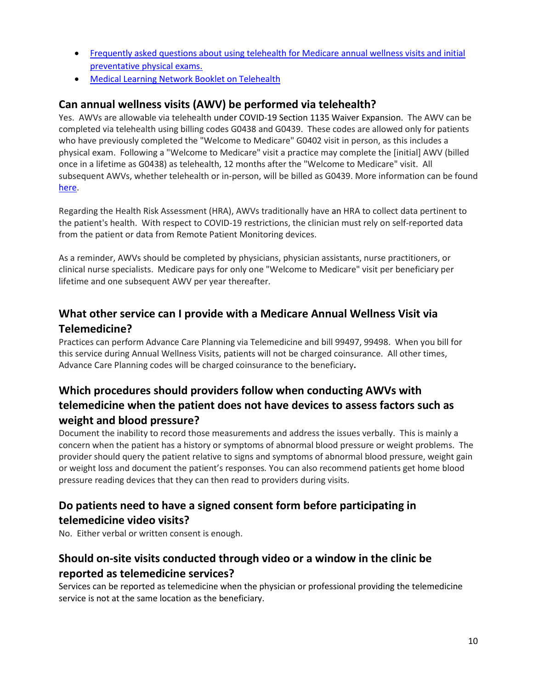- [Frequently asked questions about using telehealth for Medicare annual wellness visits and initial](https://www.cms.gov/Outreach-and-Education/Outreach/NPC/Downloads/IPPE-AWV-FAQs.pdf)  [preventative physical exams.](https://www.cms.gov/Outreach-and-Education/Outreach/NPC/Downloads/IPPE-AWV-FAQs.pdf)
- [Medical Learning Network Booklet on Telehealth](https://www.cms.gov/Outreach-and-Education/Medicare-Learning-Network-MLN/MLNProducts/Downloads/TelehealthSrvcsfctsht.pdf)

#### **Can annual wellness visits (AWV) be performed via telehealth?**

Yes. AWVs are allowable via telehealth under COVID-19 Section 1135 Waiver Expansion. The AWV can be completed via telehealth using billing codes G0438 and G0439. These codes are allowed only for patients who have previously completed the "Welcome to Medicare" G0402 visit in person, as this includes a physical exam. Following a "Welcome to Medicare" visit a practice may complete the [initial] AWV (billed once in a lifetime as G0438) as telehealth, 12 months after the "Welcome to Medicare" visit. All subsequent AWVs, whether telehealth or in-person, will be billed as G0439. More information can be found [here.](https://www.medicare.gov/medicare-coronavirus)

Regarding the Health Risk Assessment (HRA), AWVs traditionally have an HRA to collect data pertinent to the patient's health. With respect to COVID-19 restrictions, the clinician must rely on self-reported data from the patient or data from Remote Patient Monitoring devices.

As a reminder, AWVs should be completed by physicians, physician assistants, nurse practitioners, or clinical nurse specialists. Medicare pays for only one "Welcome to Medicare" visit per beneficiary per lifetime and one subsequent AWV per year thereafter.

## **What other service can I provide with a Medicare Annual Wellness Visit via Telemedicine?**

Practices can perform Advance Care Planning via Telemedicine and bill 99497, 99498. When you bill for this service during Annual Wellness Visits, patients will not be charged coinsurance. All other times, Advance Care Planning codes will be charged coinsurance to the beneficiary**.**

## **Which procedures should providers follow when conducting AWVs with telemedicine when the patient does not have devices to assess factors such as weight and blood pressure?**

Document the inability to record those measurements and address the issues verbally. This is mainly a concern when the patient has a history or symptoms of abnormal blood pressure or weight problems. The provider should query the patient relative to signs and symptoms of abnormal blood pressure, weight gain or weight loss and document the patient's responses*.* You can also recommend patients get home blood pressure reading devices that they can then read to providers during visits.

## **Do patients need to have a signed consent form before participating in telemedicine video visits?**

No. Either verbal or written consent is enough.

## **Should on-site visits conducted through video or a window in the clinic be reported as telemedicine services?**

Services can be reported as telemedicine when the physician or professional providing the telemedicine service is not at the same location as the beneficiary.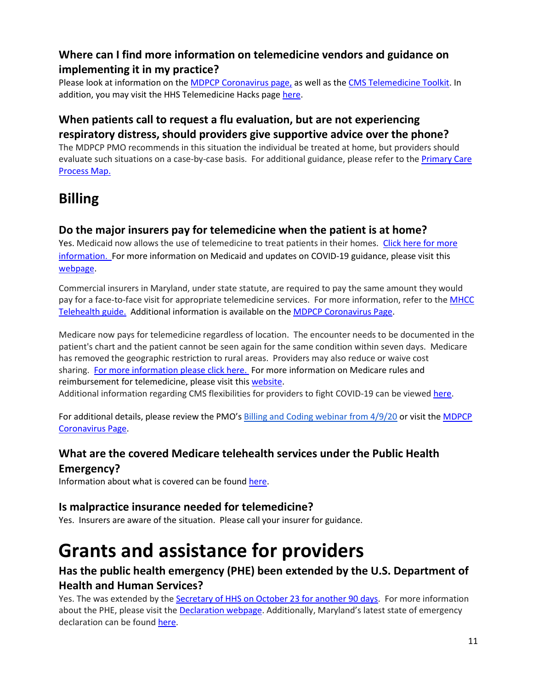## **Where can I find more information on telemedicine vendors and guidance on implementing it in my practice?**

Please look at information on the [MDPCP Coronavirus page,](https://health.maryland.gov/mdpcp/Pages/Coronavirus.aspx) as well as th[e CMS Telemedicine Toolkit.](https://www.cms.gov/files/document/general-telemedicine-toolkit.pdf) In addition, you may visit the HHS Telemedicine Hacks page [here.](https://echo.unm.edu/covid-19/sessions/telemedicine-hack)

## **When patients call to request a flu evaluation, but are not experiencing respiratory distress, should providers give supportive advice over the phone?**

The MDPCP PMO recommends in this situation the individual be treated at home, but providers should evaluate such situations on a case-by-case basis. For additional guidance, please refer to the [Primary Care](https://health.maryland.gov/mdpcp/Documents/COVID-19%20Process%20Map.pdf)  [Process Map.](https://health.maryland.gov/mdpcp/Documents/COVID-19%20Process%20Map.pdf)

## <span id="page-10-0"></span>**Billing**

## **Do the major insurers pay for telemedicine when the patient is at home?**

Yes. Medicaid now allows the use of telemedicine to treat patients in their homes. [Click here for more](https://health.maryland.gov/mdpcp/Documents/Temporary%20Expansion%20of%20Medicaid%20Regulations.pdf)  [information.](https://health.maryland.gov/mdpcp/Documents/Temporary%20Expansion%20of%20Medicaid%20Regulations.pdf) For more information on Medicaid and updates on COVID-19 guidance, please visit this [webpage.](https://mmcp.health.maryland.gov/Pages/COVID-19-Provider-Updates.aspx)

Commercial insurers in Maryland, under state statute, are required to pay the same amount they would pay for a face-to-face visit for appropriate telemedicine services. For more information, refer to the MHCC [Telehealth guide.](https://mhcc.maryland.gov/mhcc/pages/hit/hit_telemedicine/documents/HIT_Telehealth_COVID_19_Flyer.pdf) Additional information is available on the [MDPCP Coronavirus Page.](https://health.maryland.gov/mdpcp/Pages/Coronavirus.aspx)

Medicare now pays for telemedicine regardless of location.The encounter needs to be documented in the patient's chart and the patient cannot be seen again for the same condition within seven days. Medicare has removed the geographic restriction to rural areas. Providers may also reduce or waive cost sharing. [For more information please click here.](https://www.cms.gov/newsroom/fact-sheets/medicare-telemedicine-health-care-provider-fact-sheet) For more information on Medicare rules and reimbursement for telemedicine, please visit this [website.](https://edit.cms.gov/files/document/medicare-telehealth-frequently-asked-questions-faqs-31720.pdf)

Additional information regarding CMS flexibilities for providers to fight COVID-19 can be viewed [here.](https://www.cms.gov/files/document/covid-19-physicians-and-practitioners.pdf)

For additional details, please review the PMO's [Billing and Coding webinar from 4/9/20](https://register.gotowebinar.com/recording/2199689965733732611) or visit the MDPCP [Coronavirus Page.](https://health.maryland.gov/mdpcp/Pages/Coronavirus.aspx)

## **What are the covered Medicare telehealth services under the Public Health Emergency?**

Information about what is covered can be found [here.](https://www.cms.gov/Medicare/Medicare-General-Information/Telehealth/Telehealth-Codes)

## **Is malpractice insurance needed for telemedicine?**

Yes. Insurers are aware of the situation. Please call your insurer for guidance.

# <span id="page-10-1"></span>**Grants and assistance for providers**

## **Has the public health emergency (PHE) been extended by the U.S. Department of Health and Human Services?**

Yes. The was extended by the [Secretary of HHS on October 23](https://www.phe.gov/emergency/news/healthactions/phe/Pages/covid19-23June2020.aspx) fo[r](https://www.phe.gov/emergency/news/healthactions/phe/Pages/covid19-23June2020.aspx) [another 90 days.](https://www.phe.gov/emergency/news/healthactions/phe/Pages/covid19-23June2020.aspx) For more information about the PHE, please visit the [Declaration webpage.](https://www.phe.gov/Preparedness/legal/Pages/phedeclaration.aspx) Additionally, Maryland's latest state of emergency declaration can be foun[d here.](https://mema.maryland.gov/Pages/state-of-emergency-coronavirus.aspx#:%7E:text=%E2%80%8B%E2%80%8BA%20state%20of,not%20mandate%20school%20closures.)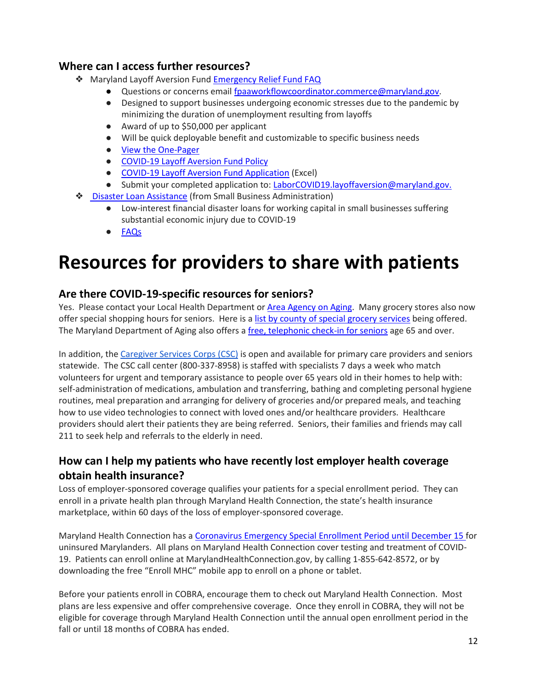#### **Where can I access further resources?**

- ❖ [Maryland Layoff Aversion Fund](https://www.dllr.state.md.us/employment/covidlafund.shtml) [Emergency Relief Fund FAQ](https://docs.google.com/document/d/1MJ3NqmX41YFcBaiRgpbDK9OTgk5G9qICbNdWl9El5mo/edit?usp=sharing)
	- Questions or concerns email [fpaaworkflowcoordinator.commerce@maryland.gov.](mailto:fpaaworkflowcoordinator.commerce@maryland.gov)
	- Designed to support businesses undergoing economic stresses due to the pandemic by minimizing the duration of unemployment resulting from layoffs
	- Award of up to \$50,000 per applicant
	- Will be quick deployable benefit and customizable to specific business needs
	- [View the One-Pager](http://www.labor.maryland.gov/employment/covidlafundflyer.pdf)
	- [COVID-19 Layoff Aversion Fund Policy](http://www.labor.maryland.gov/employment/covidlafundpolicy.pdf)
	- [COVID-19 Layoff Aversion Fund Application](http://www.labor.maryland.gov/employment/covidlafundapp.xls) (Excel)
	- Submit your completed application to: [LaborCOVID19.layoffaversion@maryland.gov.](mailto:LaborCOVID19.layoffaversion@maryland.gov)
- ❖ [Disaster Loan Assistance](https://disasterloan.sba.gov/ela/) (from Small Business Administration)
	- Low-interest financial disaster loans for working capital in small businesses suffering substantial economic injury due to COVID-19
	- [FAQs](https://disasterloan.sba.gov/ela/Home/Questionshttps:/disasterloan.sba.gov/ela/Home/Questions)

# <span id="page-11-0"></span>**Resources for providers to share with patients**

#### **Are there COVID-19-specific resources for seniors?**

Yes. Please contact your Local Health Department or [Area Agency on Aging.](https://aging.maryland.gov/accesspoint/Pages/map-office.aspx) Many grocery stores also now offer special shopping hours for seniors. Here is [a list by county of special grocery services](https://aging.maryland.gov/SiteAssets/Pages/Novel-coronavirus/List%20of%20Grocery%20Delivery%20by%20County.pdf) being offered. The Maryland Department of Aging also offers a [free, telephonic check-in for seniors](https://aging.maryland.gov/Pages/senior-call-check.aspx) age 65 and over.

In addition, th[e Caregiver Services Corps \(CSC\)](https://governor.maryland.gov/2020/05/18/governor-hogan-announces-caregiver-services-corps-to-help-marylands-seniors/) is open and available for primary care providers and seniors statewide. The CSC call center (800-337-8958) is staffed with specialists 7 days a week who match volunteers for urgent and temporary assistance to people over 65 years old in their homes to help with: self-administration of medications, ambulation and transferring, bathing and completing personal hygiene routines, meal preparation and arranging for delivery of groceries and/or prepared meals, and teaching how to use video technologies to connect with loved ones and/or healthcare providers. Healthcare providers should alert their patients they are being referred. Seniors, their families and friends may call 211 to seek help and referrals to the elderly in need.

## **How can I help my patients who have recently lost employer health coverage obtain health insurance?**

Loss of employer-sponsored coverage qualifies your patients for a special enrollment period. They can enroll in a private health plan through Maryland Health Connection, the state's health insurance marketplace, within 60 days of the loss of employer-sponsored coverage.

Maryland Health Connection has a [Coronavirus Emergency Special Enrollment Period until December 15 f](https://www.marylandhealthconnection.gov/coronavirus-sep/)or uninsured Marylanders. All plans on Maryland Health Connection cover testing and treatment of COVID-19. Patients can enroll online at MarylandHealthConnection.gov, by calling 1-855-642-8572, or by downloading the free "Enroll MHC" mobile app to enroll on a phone or tablet.

Before your patients enroll in COBRA, encourage them to check out Maryland Health Connection. Most plans are less expensive and offer comprehensive coverage. Once they enroll in COBRA, they will not be eligible for coverage through Maryland Health Connection until the annual open enrollment period in the fall or until 18 months of COBRA has ended.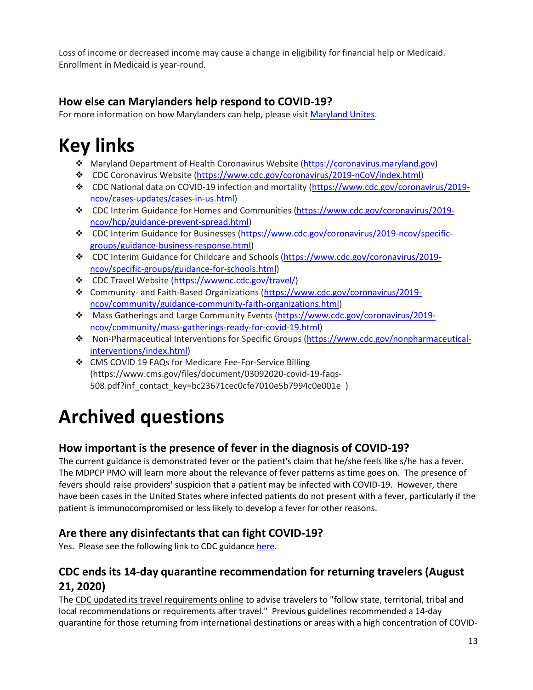Loss of income or decreased income may cause a change in eligibility for financial help or Medicaid. Enrollment in Medicaid is year-round.

## **How else can Marylanders help respond to COVID-19?**

For more information on how Marylanders can help, please visi[t Maryland Unites.](https://governor.maryland.gov/marylandunites/)

# <span id="page-12-0"></span>**Key links**

- ❖ Maryland Department of Health Coronavirus Website [\(https://coronavirus.maryland.gov\)](https://coronavirus.maryland.gov/)
- ❖ CDC Coronavirus Website [\(https://www.cdc.gov/coronavirus/2019-nCoV/index.html\)](https://www.cdc.gov/coronavirus/2019-nCoV/index.html)
- ❖ CDC National data on COVID-19 infection and mortality [\(https://www.cdc.gov/coronavirus/2019](https://www.cdc.gov/coronavirus/2019-ncov/cases-updates/cases-in-us.html) [ncov/cases-updates/cases-in-us.html\)](https://www.cdc.gov/coronavirus/2019-ncov/cases-updates/cases-in-us.html)
- ❖ CDC Interim Guidance for Homes and Communities [\(https://www.cdc.gov/coronavirus/2019](https://www.cdc.gov/coronavirus/2019-ncov/hcp/guidance-prevent-spread.html) [ncov/hcp/guidance-prevent-spread.html\)](https://www.cdc.gov/coronavirus/2019-ncov/hcp/guidance-prevent-spread.html)
- ❖ CDC Interim Guidance for Businesses [\(https://www.cdc.gov/coronavirus/2019-ncov/specific](https://www.cdc.gov/coronavirus/2019-ncov/specific-groups/guidance-business-response.html)[groups/guidance-business-response.html\)](https://www.cdc.gov/coronavirus/2019-ncov/specific-groups/guidance-business-response.html)
- ❖ CDC Interim Guidance for Childcare and Schools [\(https://www.cdc.gov/coronavirus/2019](https://www.cdc.gov/coronavirus/2019-ncov/specific-groups/guidance-for-schools.html) [ncov/specific-groups/guidance-for-schools.html\)](https://www.cdc.gov/coronavirus/2019-ncov/specific-groups/guidance-for-schools.html)
- ❖ CDC Travel Website [\(https://wwwnc.cdc.gov/travel/\)](https://wwwnc.cdc.gov/travel/)
- ❖ Community- and Faith-Based Organizations [\(https://www.cdc.gov/coronavirus/2019](https://www.cdc.gov/coronavirus/2019-ncov/community/guidance-community-faith-organizations.html) [ncov/community/guidance-community-faith-organizations.html\)](https://www.cdc.gov/coronavirus/2019-ncov/community/guidance-community-faith-organizations.html)
- ❖ Mass Gatherings and Large Community Events [\(https://www.cdc.gov/coronavirus/2019](https://www.cdc.gov/coronavirus/2019-ncov/community/mass-gatherings-ready-for-covid-19.html) [ncov/community/mass-gatherings-ready-for-covid-19.html\)](https://www.cdc.gov/coronavirus/2019-ncov/community/mass-gatherings-ready-for-covid-19.html)
- ❖ Non-Pharmaceutical Interventions for Specific Groups [\(https://www.cdc.gov/nonpharmaceutical](https://www.cdc.gov/nonpharmaceutical-interventions/index.html)[interventions/index.html\)](https://www.cdc.gov/nonpharmaceutical-interventions/index.html)
- ❖ CMS COVID 19 FAQs for Medicare Fee-For-Service Billing [\(https://www.cms.gov/files/document/03092020-covid-19-faqs-](https://www.cms.gov/files/document/03092020-covid-19-faqs-508.pdf?inf_contact_key=bc23671cec0cfe7010e5b7994c0e001e)[508.pdf?inf\\_contact\\_key=bc23671cec0cfe7010e5b7994c0e001e](https://www.cms.gov/files/document/03092020-covid-19-faqs-508.pdf?inf_contact_key=bc23671cec0cfe7010e5b7994c0e001e) )

# <span id="page-12-1"></span>**Archived questions**

## **How important is the presence of fever in the diagnosis of COVID-19?**

The current guidance is demonstrated fever or the patient's claim that he/she feels like s/he has a fever. The MDPCP PMO will learn more about the relevance of fever patterns as time goes on. The presence of fevers should raise providers' suspicion that a patient may be infected with COVID-19. However, there have been cases in the United States where infected patients do not present with a fever, particularly if the patient is immunocompromised or less likely to develop a fever for other reasons.

## **Are there any disinfectants that can fight COVID-19?**

Yes. Please see the following link to CDC guidance [here.](https://www.cdc.gov/coronavirus/2019-ncov/community/organizations/cleaning-disinfection.html.)

## **CDC ends its 14-day quarantine recommendation for returning travelers (August 21, 2020)**

Th[e CDC updated its travel requirements online](https://www.cdc.gov/coronavirus/2019-ncov/travelers/travel-during-covid19.html) to advise travelers to "follow state, territorial, tribal and local recommendations or requirements after travel." Previous guidelines recommended a 14-day quarantine for those returning from international destinations or areas with a high concentration of COVID-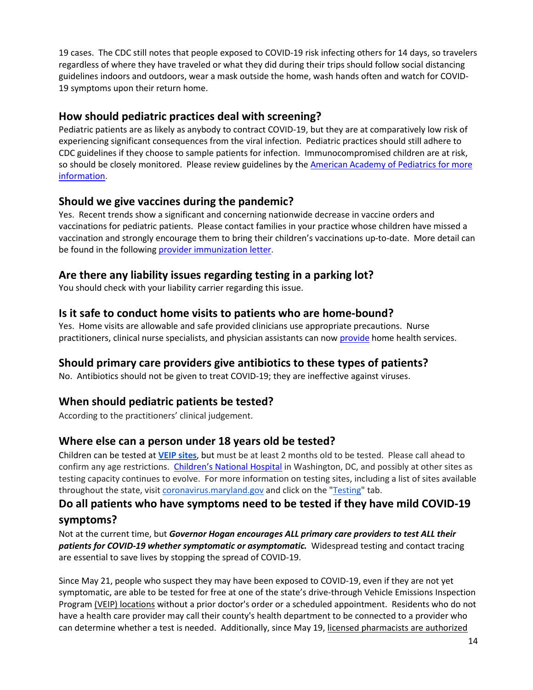19 cases. The CDC still notes that people exposed to COVID-19 risk infecting others for 14 days, so travelers regardless of where they have traveled or what they did during their trips should follow social distancing guidelines indoors and outdoors, wear a mask outside the home, wash hands often and watch for COVID-19 symptoms upon their return home.

#### **How should pediatric practices deal with screening?**

Pediatric patients are as likely as anybody to contract COVID-19, but they are at comparatively low risk of experiencing significant consequences from the viral infection. Pediatric practices should still adhere to CDC guidelines if they choose to sample patients for infection. Immunocompromised children are at risk, so should be closely monitored. Please review guidelines by th[e American Academy of Pediatrics for more](https://services.aap.org/en/pages/2019-novel-coronavirus-covid-19-infections/)  [information.](https://services.aap.org/en/pages/2019-novel-coronavirus-covid-19-infections/)

#### **Should we give vaccines during the pandemic?**

Yes. Recent trends show a significant and concerning nationwide decrease in vaccine orders and vaccinations for pediatric patients. Please contact families in your practice whose children have missed a vaccination and strongly encourage them to bring their children's vaccinations up-to-date. More detail can be found in the following [provider immunization letter.](https://health.maryland.gov/mdpcp/Documents/Immunization%20Provider%20Letter%20FINAL%2006.05.2020.pdf)

## **Are there any liability issues regarding testing in a parking lot?**

You should check with your liability carrier regarding this issue.

#### **Is it safe to conduct home visits to patients who are home-bound?**

Yes. Home visits are allowable and safe provided clinicians use appropriate precautions. Nurse practitioners, clinical nurse specialists, and physician assistants can now [provide](https://www.cms.gov/files/document/covid-home-health-agencies.pdf) home health services.

## **Should primary care providers give antibiotics to these types of patients?**

No. Antibiotics should not be given to treat COVID-19; they are ineffective against viruses.

## **When should pediatric patients be tested?**

According to the practitioners' clinical judgement.

## **Where else can a person under 18 years old be tested?**

Children can be tested at **[VEIP sites](https://phpa.health.maryland.gov/Documents/FAQ_covid19_veip_testing.pdf)**, but must be at least 2 months old to be tested. Please call ahead to confirm any age restrictions. [Children's National Hospital](https://childrensnational.org/) in Washington, DC, and possibly at other sites as testing capacity continues to evolve. For more information on testing sites, including a list of sites available throughout the state, visi[t coronavirus.maryland.gov](http://coronavirus.maryland.gov/) and click on the ["Testing"](https://coronavirus.maryland.gov/pages/symptoms-testing) tab.

# **Do all patients who have symptoms need to be tested if they have mild COVID-19**

#### **symptoms?**

Not at the current time, but *Governor Hogan encourages ALL primary care providers to test ALL their patients for COVID-19 whether symptomatic or asymptomatic.* Widespread testing and contact tracing are essential to save lives by stopping the spread of COVID-19.

Since May 21, people who suspect they may have been exposed to COVID-19, even if they are not yet symptomatic, are able to be tested for free at one of the state's drive-through Vehicle Emissions Inspection Program [\(VEIP\) locations](https://phpa.health.maryland.gov/Documents/FAQ_covid19_veip_testing.pdf) without a prior doctor's order or a scheduled appointment. Residents who do not have a health care provider may call their [county's health department](https://coronavirus.maryland.gov/pages/lhd-resources) to be connected to a provider who can determine whether a test is needed. Additionally, since May 19, [licensed pharmacists are authorized](https://htv-prod-media.s3.amazonaws.com/files/pharmacist-testing-5-19-20-1589911409.pdf)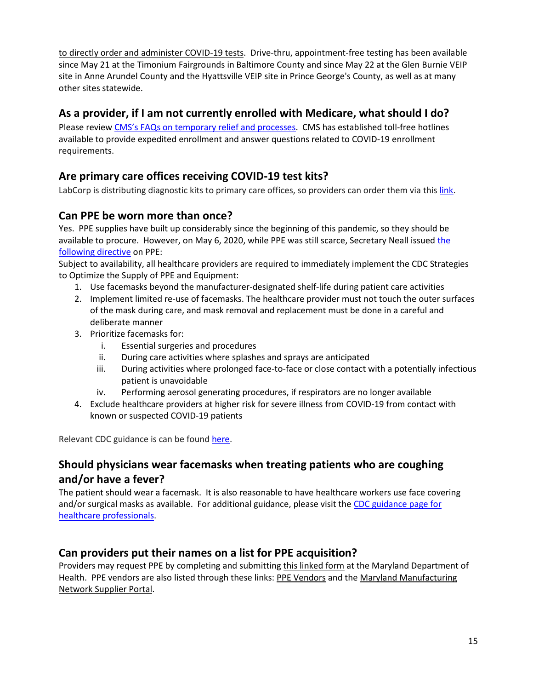[to directly order and administer COVID-19 tests.](https://htv-prod-media.s3.amazonaws.com/files/pharmacist-testing-5-19-20-1589911409.pdf) Drive-thru, appointment-free testing has been available since May 21 at the Timonium Fairgrounds in Baltimore County and since May 22 at the Glen Burnie VEIP site in Anne Arundel County and the Hyattsville VEIP site in Prince George's County, as well as at many other sites statewide.

#### **As a provider, if I am not currently enrolled with Medicare, what should I do?**

Please review [CMS's FAQs on temporary relief and processes.](https://www.cms.gov/files/document/provider-enrollment-relief-faqs-covid-19.pdf) CMS has established toll-free hotlines available to provide expedited enrollment and answer questions related to COVID-19 enrollment requirements.

## **Are primary care offices receiving COVID-19 test kits?**

LabCorp is distributing diagnostic kits to primary care offices, so providers can order them via this [link.](https://www.labcorp.com/tests/139900/2019-novel-coronavirus-covid-19-naa)

#### **Can PPE be worn more than once?**

Yes. PPE supplies have built up considerably since the beginning of this pandemic, so they should be available to procure. However, on May 6, 2020, while PPE was still scarce, Secretary Neall issued the [following directive](https://health.maryland.gov/mdpcp/Documents/05.06.2020%20-%20MDH%20Sec%20Order%20-%20Amended%20Various%20Healthcare%20Matters.pdf) on PPE:

Subject to availability, all healthcare providers are required to immediately implement the CDC Strategies to Optimize the Supply of PPE and Equipment:

- 1. Use facemasks beyond the manufacturer-designated shelf-life during patient care activities
- 2. Implement limited re-use of facemasks. The healthcare provider must not touch the outer surfaces of the mask during care, and mask removal and replacement must be done in a careful and deliberate manner
- 3. Prioritize facemasks for:
	- i. Essential surgeries and procedures
	- ii. During care activities where splashes and sprays are anticipated
	- iii. During activities where prolonged face-to-face or close contact with a potentially infectious patient is unavoidable
	- iv. Performing aerosol generating procedures, if respirators are no longer available
- 4. Exclude healthcare providers at higher risk for severe illness from COVID-19 from contact with known or suspected COVID-19 patients

Relevant CDC guidance is can be found [here.](https://www.cdc.gov/niosh/topics/hcwcontrols/recommendedguidanceextuse.html)

## **Should physicians wear facemasks when treating patients who are coughing and/or have a fever?**

The patient should wear a facemask. It is also reasonable to have healthcare workers use face covering and/or surgical masks as available. For additional guidance, please visit the [CDC guidance page for](https://www.cdc.gov/coronavirus/2019-ncov/hcp/faq.html)  [healthcare professionals.](https://www.cdc.gov/coronavirus/2019-ncov/hcp/faq.html)

## **Can providers put their names on a list for PPE acquisition?**

Providers may request PPE by completing and submittin[g this linked form](https://health.maryland.gov/mdpcp/Documents/Emergency%20PPE%20Request%20Form.pdf) at the Maryland Department of Health. PPE vendors are also listed through these links: [PPE Vendors](https://health.maryland.gov/mdpcp/Documents/PPE%20Supplier%20List.pdf) and the [Maryland Manufacturing](https://lnks.gd/l/eyJhbGciOiJIUzI1NiJ9.eyJidWxsZXRpbl9saW5rX2lkIjoxMDEsInVyaSI6ImJwMjpjbGljayIsImJ1bGxldGluX2lkIjoiMjAyMDA1MDUuMjEwNzA1ODEiLCJ1cmwiOiJodHRwczovL21hcnlsYW5kbWFudWZhY3R1cmluZ25ldHdvcmsuY29tLyJ9.LooVLQVVaS1ZDb1kge4F06vCEciQtBawCWk5W5Y2Li4/br/78244301034-l)  [Network Supplier Portal.](https://lnks.gd/l/eyJhbGciOiJIUzI1NiJ9.eyJidWxsZXRpbl9saW5rX2lkIjoxMDEsInVyaSI6ImJwMjpjbGljayIsImJ1bGxldGluX2lkIjoiMjAyMDA1MDUuMjEwNzA1ODEiLCJ1cmwiOiJodHRwczovL21hcnlsYW5kbWFudWZhY3R1cmluZ25ldHdvcmsuY29tLyJ9.LooVLQVVaS1ZDb1kge4F06vCEciQtBawCWk5W5Y2Li4/br/78244301034-l)